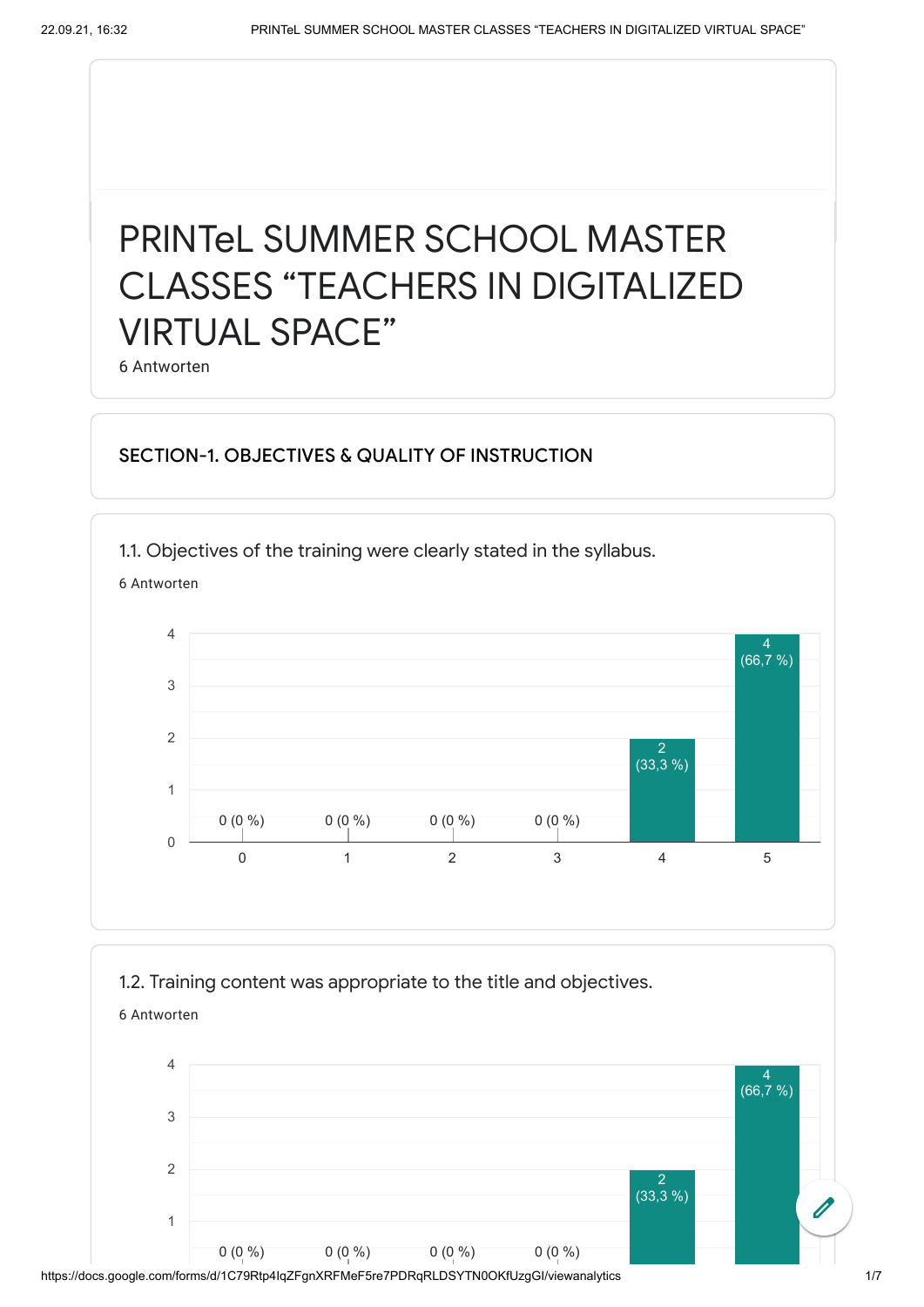# PRINTeL SUMMER SCHOOL MASTER CLASSES "TEACHERS IN DIGITALIZED VIRTUAL SPACE"

6 Antworten

## SECTION-1. OBJECTIVES & QUALITY OF INSTRUCTION

1.1. Objectives of the training were clearly stated in the syllabus.

6 Antworten



### 1.2. Training content was appropriate to the title and objectives.



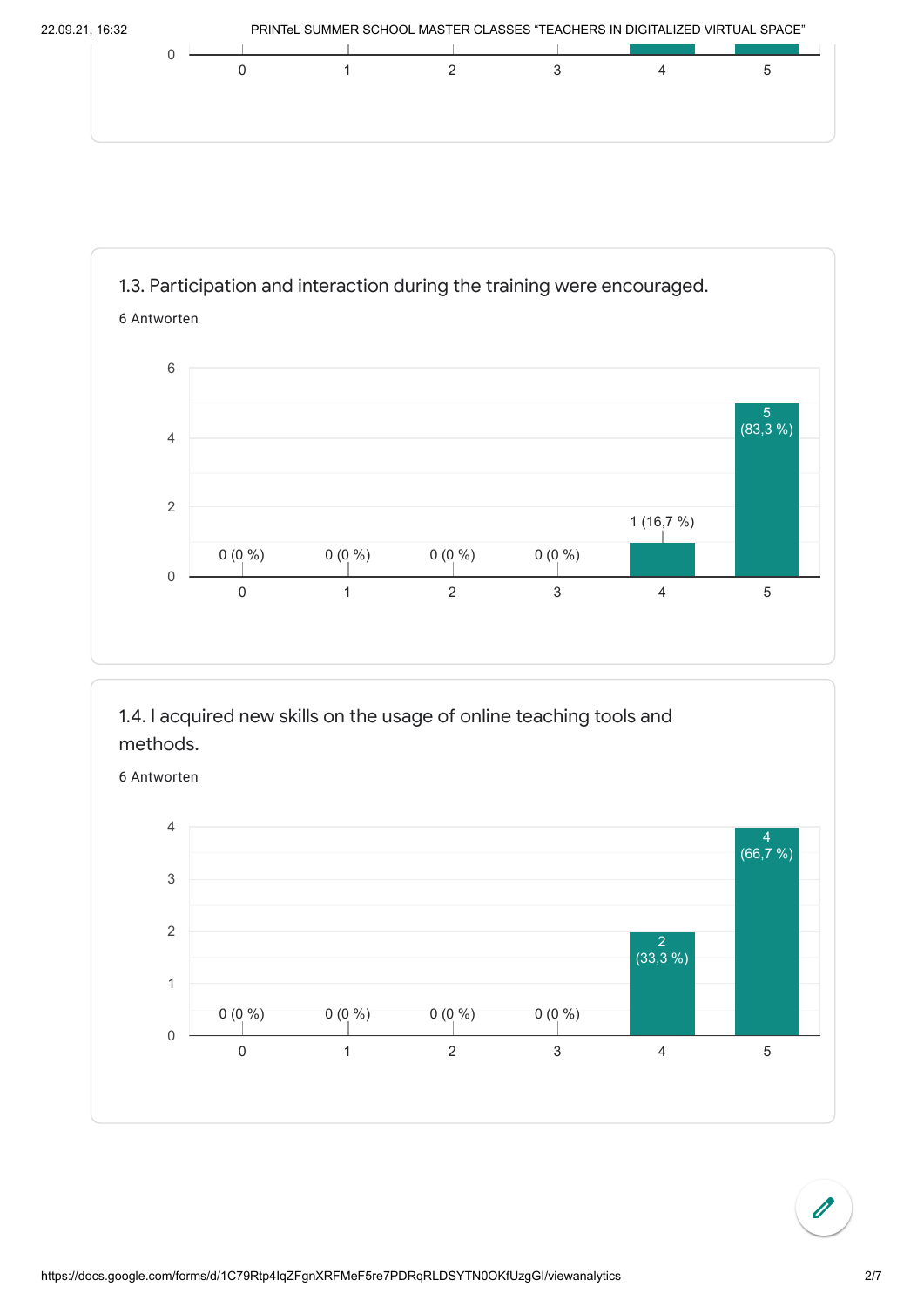



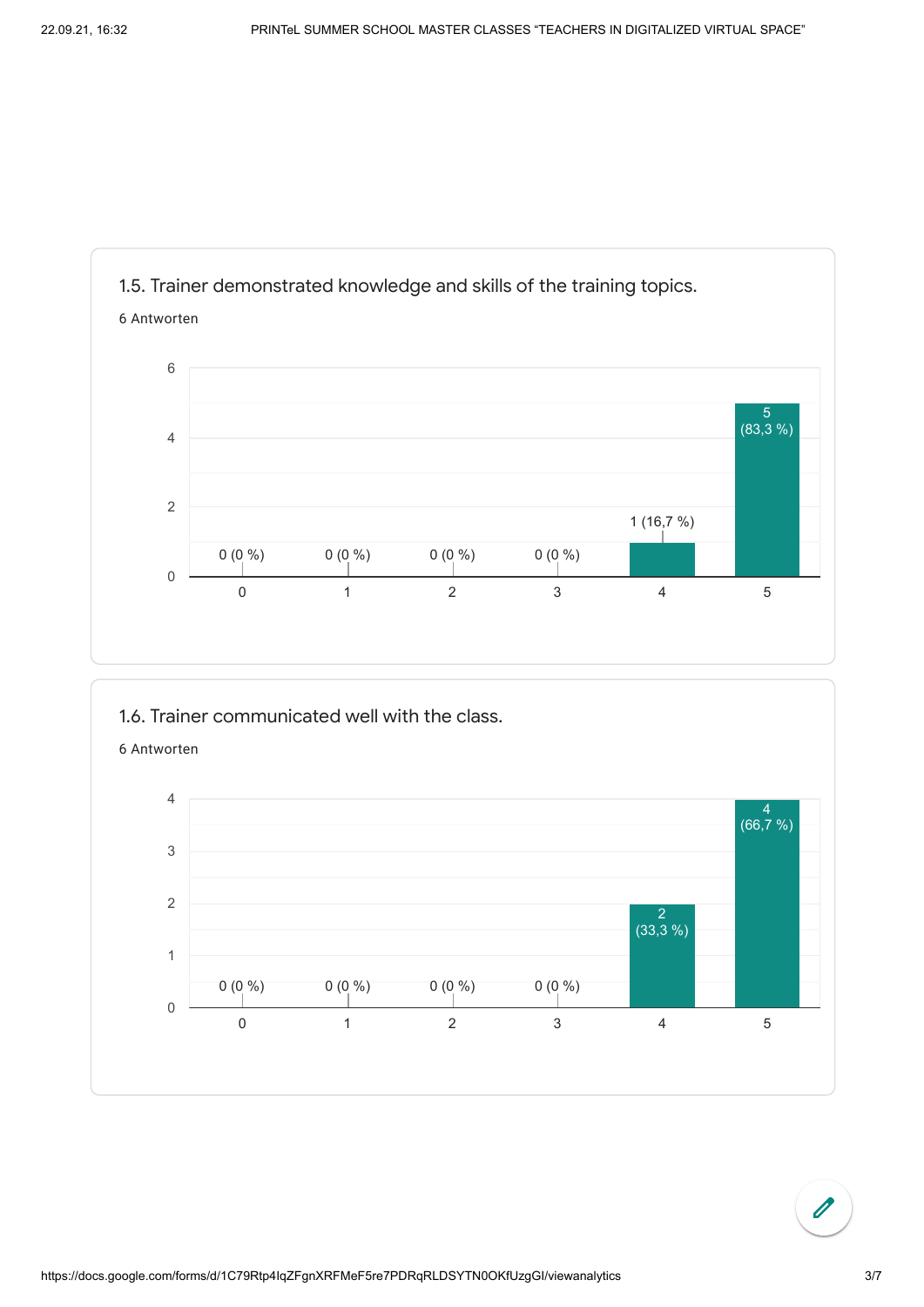

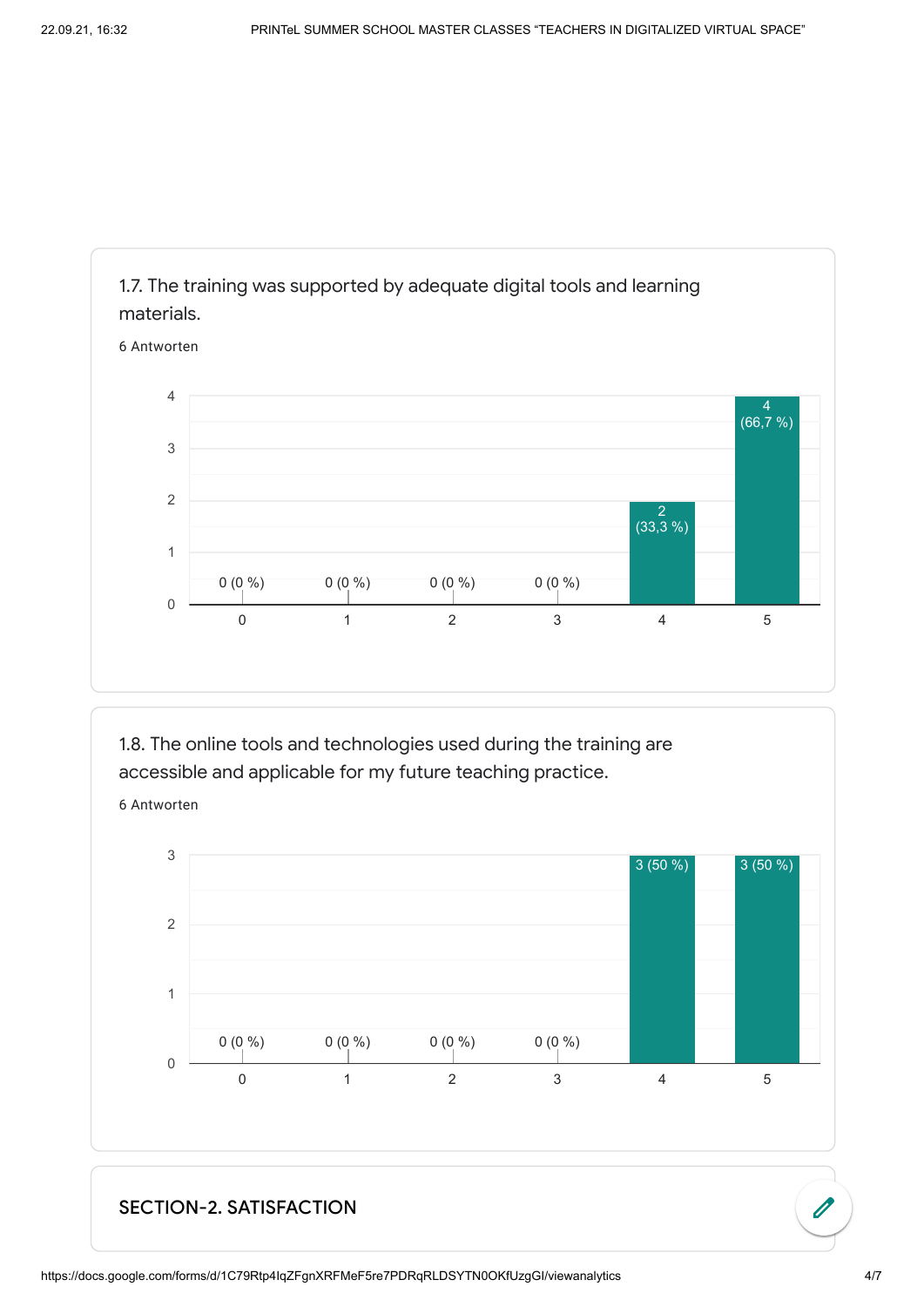

1.8. The online tools and technologies used during the training are accessible and applicable for my future teaching practice.

6 Antworten



#### SECTION-2. SATISFACTION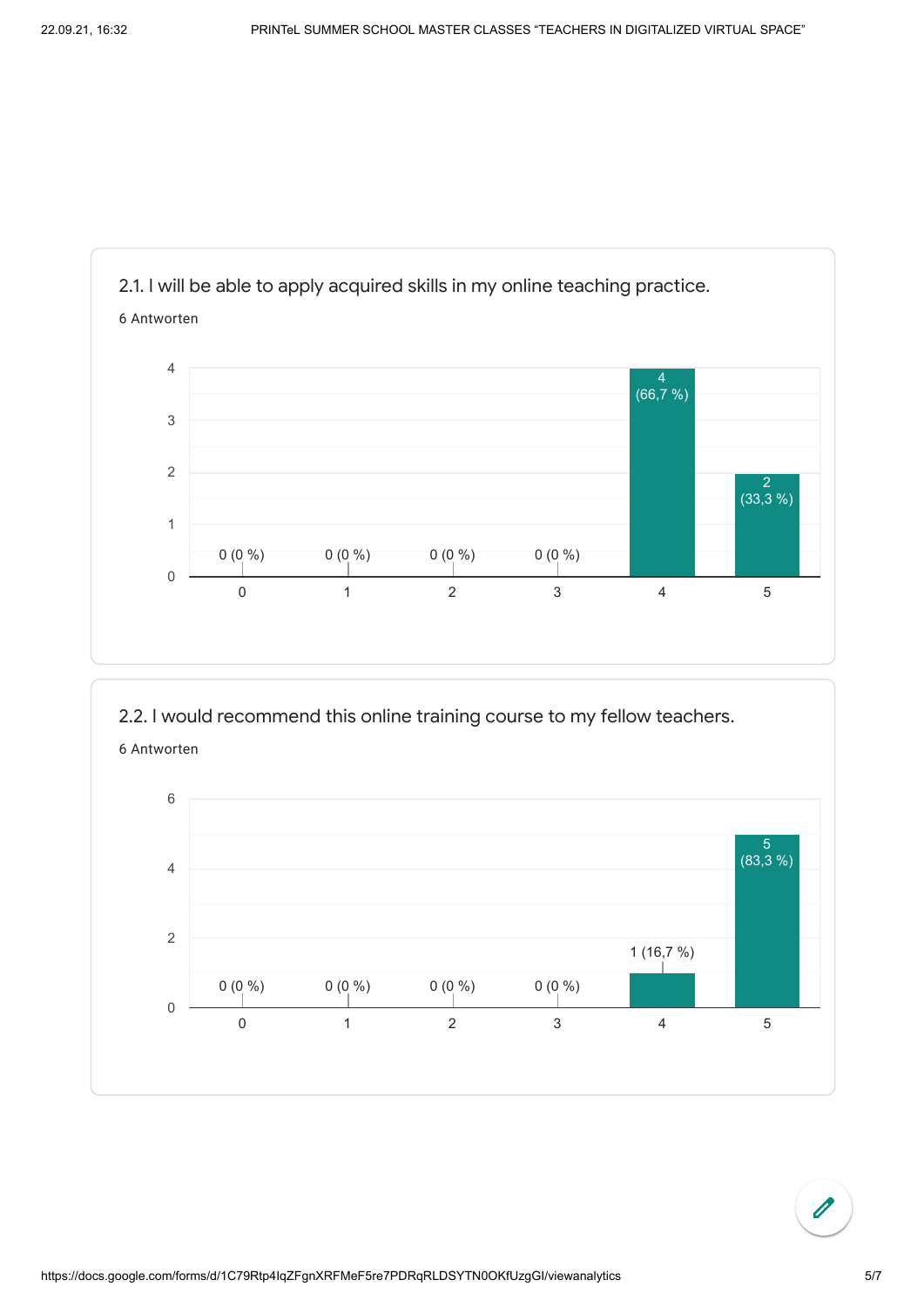

2.2. I would recommend this online training course to my fellow teachers.

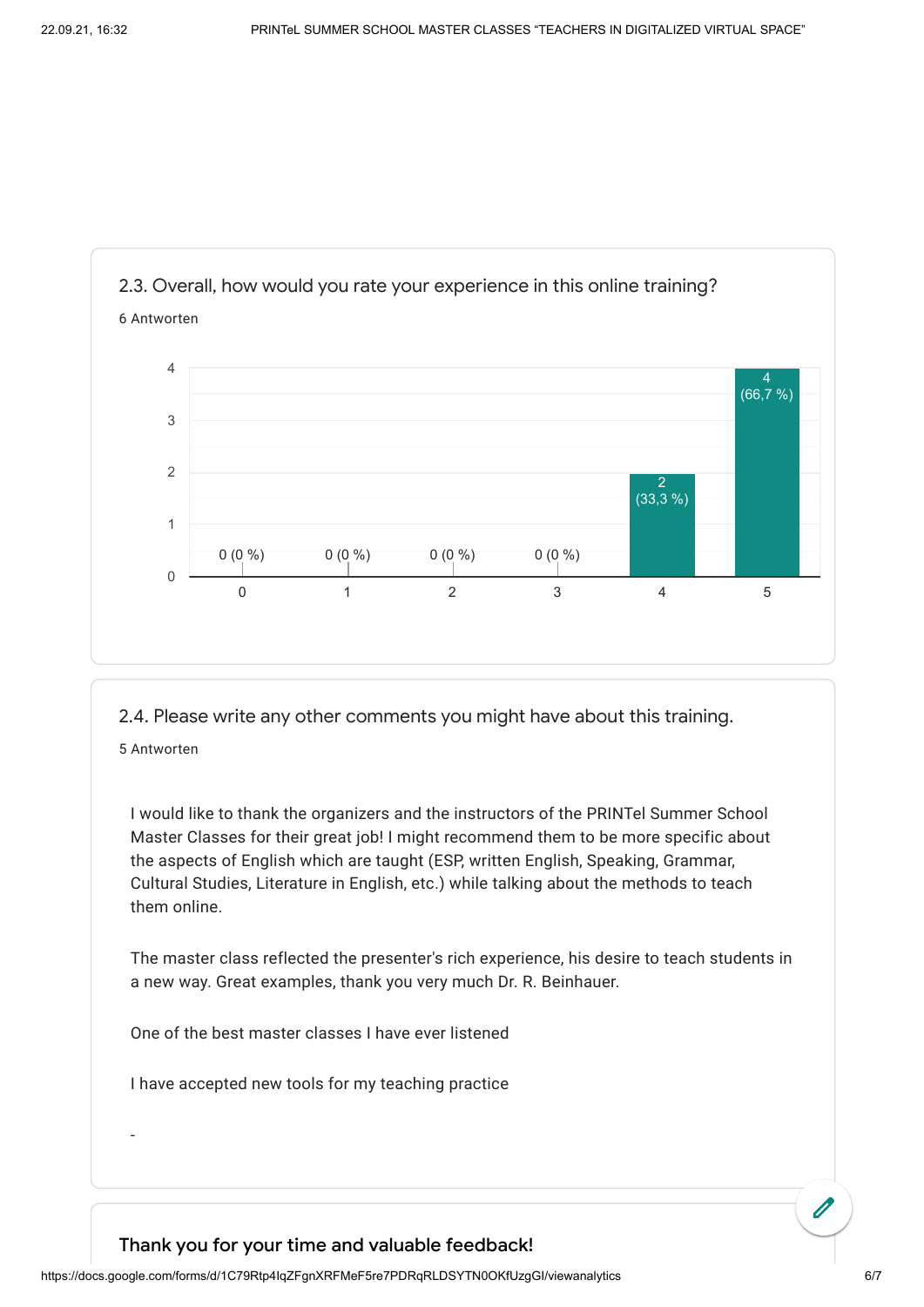

I would like to thank the organizers and the instructors of the PRINTel Summer School Master Classes for their great job! I might recommend them to be more specific about the aspects of English which are taught (ESP, written English, Speaking, Grammar, Cultural Studies, Literature in English, etc.) while talking about the methods to teach them online.

The master class reflected the presenter's rich experience, his desire to teach students in a new way. Great examples, thank you very much Dr. R. Beinhauer.

One of the best master classes I have ever listened

I have accepted new tools for my teaching practice

-

#### Thank you for your time and valuable feedback!

https://docs.google.com/forms/d/1C79Rtp4IqZFgnXRFMeF5re7PDRqRLDSYTN0OKfUzgGI/viewanalytics 6/7